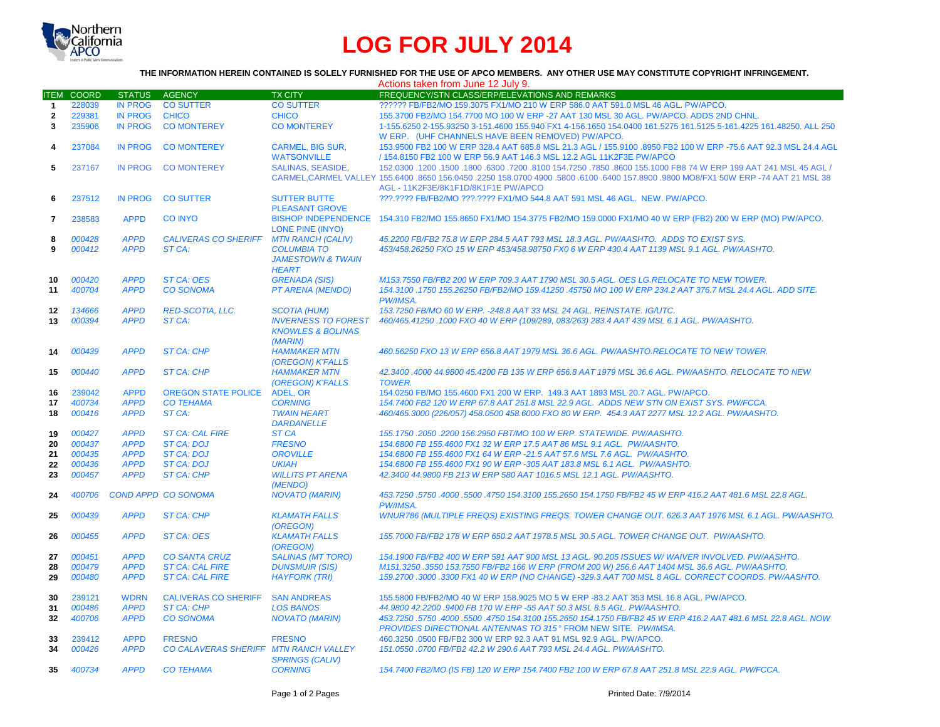

## **LOG FOR JULY 2014**

## **THE INFORMATION HEREIN CONTAINED IS SOLELY FURNISHED FOR THE USE OF APCO MEMBERS. ANY OTHER USE MAY CONSTITUTE COPYRIGHT INFRINGEMENT.**

|                |                  |                            |                                        |                                  | Actions taken from June 12 July 9.                                                                                                                   |
|----------------|------------------|----------------------------|----------------------------------------|----------------------------------|------------------------------------------------------------------------------------------------------------------------------------------------------|
| <b>ITEM</b>    | <b>COORD</b>     | <b>STATUS</b>              | <b>AGENCY</b>                          | <b>TX CITY</b>                   | FREQUENCY/STN CLASS/ERP/ELEVATIONS AND REMARKS                                                                                                       |
| $\mathbf{1}$   | 228039           | <b>IN PROG</b>             | <b>CO SUTTER</b>                       | <b>CO SUTTER</b>                 | ?????? FB/FB2/MO 159.3075 FX1/MO 210 W ERP 586.0 AAT 591.0 MSL 46 AGL, PW/APCO,                                                                      |
| $\overline{2}$ | 229381           | <b>IN PROG</b>             | <b>CHICO</b>                           | <b>CHICO</b>                     | 155.3700 FB2/MO 154.7700 MO 100 W ERP -27 AAT 130 MSL 30 AGL. PW/APCO. ADDS 2ND CHNL.                                                                |
| 3              | 235906           | <b>IN PROG</b>             | <b>CO MONTEREY</b>                     | <b>CO MONTEREY</b>               | 1-155.6250 2-155.93250 3-151.4600 155.940 FX1 4-156.1650 154.0400 161.5275 161.5125 5-161.4225 161.48250. ALL 250                                    |
|                |                  |                            |                                        |                                  | W ERP. (UHF CHANNELS HAVE BEEN REMOVED) PW/APCO.                                                                                                     |
| 4              | 237084           | <b>IN PROG</b>             | <b>CO MONTEREY</b>                     | <b>CARMEL, BIG SUR,</b>          | 153.9500 FB2 100 W ERP 328.4 AAT 685.8 MSL 21.3 AGL / 155.9100 .8950 FB2 100 W ERP -75.6 AAT 92.3 MSL 24.4 AGL                                       |
|                |                  |                            |                                        | <b>WATSONVILLE</b>               | / 154.8150 FB2 100 W ERP 56.9 AAT 146.3 MSL 12.2 AGL 11K2F3E PW/APCO                                                                                 |
| 5              | 237167           | <b>IN PROG</b>             | <b>CO MONTEREY</b>                     | <b>SALINAS, SEASIDE.</b>         | 150. 45 AGL (150.0300 .1200 .1200 .6300 .7200 .8100 154.7250 .7850 .8600 155.1000 FB8 74 W ERP 199 AAT 241 MSL                                       |
|                |                  |                            |                                        |                                  | CARMEL, CARMEL VALLEY 155.6400 .8650 156.0450 .2250 158.0700 4900 .5800 .6100 .6400 157.8900 .9800 MO8/FX1 50W ERP -74 AAT 21 MSL 38                 |
|                |                  |                            |                                        |                                  | AGL - 11K2F3E/8K1F1D/8K1F1E PW/APCO                                                                                                                  |
| 6              | 237512           | <b>IN PROG</b>             | <b>CO SUTTER</b>                       | <b>SUTTER BUTTE</b>              | ???.???? FB/FB2/MO ???.???? FX1/MO 544.8 AAT 591 MSL 46 AGL. NEW. PW/APCO.                                                                           |
|                |                  |                            |                                        | <b>PLEASANT GROVE</b>            |                                                                                                                                                      |
| 7              | 238583           | <b>APPD</b>                | <b>CO INYO</b>                         |                                  | BISHOP INDEPENDENCE 154.310 FB2/MO 155.8650 FX1/MO 154.3775 FB2/MO 159.0000 FX1/MO 40 W ERP (FB2) 200 W ERP (MO) PW/APCO.                            |
|                |                  |                            |                                        | <b>LONE PINE (INYO)</b>          |                                                                                                                                                      |
| 8              | 000428           | <b>APPD</b>                | <b>CALIVERAS CO SHERIFF</b>            | <b>MTN RANCH (CALIV)</b>         | 45.2200 FB/FB2 75.8 W ERP 284.5 AAT 793 MSL 18.3 AGL. PW/AASHTO. ADDS TO EXIST SYS.                                                                  |
| 9              | 000412           | <b>APPD</b>                | ST CA:                                 | <b>COLUMBIA TO</b>               | 453/458.26250 FXO 15 W ERP 453/458.98750 FX0 6 W ERP 430.4 AAT 1139 MSL 9.1 AGL. PW/AASHTO.                                                          |
|                |                  |                            |                                        | <b>JAMESTOWN &amp; TWAIN</b>     |                                                                                                                                                      |
|                |                  |                            |                                        | <b>HEART</b>                     |                                                                                                                                                      |
| 10             | 000420           | <b>APPD</b>                | <b>ST CA: OES</b>                      | <b>GRENADA (SIS)</b>             | M153.7550 FB/FB2 200 W ERP 709.3 AAT 1790 MSL 30.5 AGL, OES LG.RELOCATE TO NEW TOWER.                                                                |
| 11             | 400704           | <b>APPD</b>                | <b>CO SONOMA</b>                       | PT ARENA (MENDO)                 | 154.3100 .1750 155.26250 FB/FB2/MO 159.41250 .45750 MO 100 W ERP 234.2 AAT 376.7 MSL 24.4 AGL. ADD SITE.                                             |
|                |                  |                            |                                        |                                  | PW/IMSA.                                                                                                                                             |
| 12             | 134666           | <b>APPD</b>                | <b>RED-SCOTIA, LLC.</b>                | <b>SCOTIA (HUM)</b>              | 153.7250 FB/MO 60 W ERP. - 248.8 AAT 33 MSL 24 AGL. REINSTATE. IG/UTC.                                                                               |
| 13             | 000394           | <b>APPD</b>                | ST CA:                                 | <b>INVERNESS TO FOREST</b>       | 460/465.41250 .1000 FXO 40 W ERP (109/289, 083/263) 283.4 AAT 439 MSL 6.1 AGL. PW/AASHTO.                                                            |
|                |                  |                            |                                        | <b>KNOWLES &amp; BOLINAS</b>     |                                                                                                                                                      |
|                |                  |                            |                                        | (MARIN)                          |                                                                                                                                                      |
| 14             | 000439           | <b>APPD</b>                | <b>ST CA: CHP</b>                      | <b>HAMMAKER MTN</b>              | 460.56250 FXO 13 W ERP 656.8 AAT 1979 MSL 36.6 AGL, PW/AASHTO.RELOCATE TO NEW TOWER.                                                                 |
|                |                  |                            |                                        | (OREGON) K'FALLS                 |                                                                                                                                                      |
| 15             | 000440           | <b>APPD</b>                | <b>ST CA: CHP</b>                      | <b>HAMMAKER MTN</b>              | 42.3400 .4000 44.9800 45.4200 FB 135 W ERP 656.8 AAT 1979 MSL 36.6 AGL. PW/AASHTO. RELOCATE TO NEW                                                   |
|                |                  |                            |                                        | (OREGON) K'FALLS                 | <b>TOWER.</b>                                                                                                                                        |
| 16             | 239042           | <b>APPD</b>                | <b>OREGON STATE POLICE</b>             | ADEL, OR                         | 154.0250 FB/MO 155.4600 FX1 200 W ERP. 149.3 AAT 1893 MSL 20.7 AGL. PW/APCO.                                                                         |
| 17             | 400734           | <b>APPD</b>                | <b>CO TEHAMA</b>                       | <b>CORNING</b>                   | 154.7400 FB2 120 W ERP 67.8 AAT 251.8 MSL 22.9 AGL. ADDS NEW STN ON EXIST SYS. PW/FCCA.                                                              |
| 18             | 000416           | <b>APPD</b>                | ST CA:                                 | <b>TWAIN HEART</b>               | 460/465.3000 (226/057) 458.0500 458.6000 FXO 80 W ERP. 454.3 AAT 2277 MSL 12.2 AGL. PW/AASHTO.                                                       |
|                |                  |                            |                                        | <b>DARDANELLE</b>                |                                                                                                                                                      |
| 19             | 000427           | <b>APPD</b>                | <b>ST CA: CAL FIRE</b>                 | ST <sub>CA</sub>                 | 155.1750.2050.2200 156.2950 FBT/MO 100 W ERP. STATEWIDE. PW/AASHTO.                                                                                  |
| 20             | 000437<br>000435 | <b>APPD</b><br><b>APPD</b> | <b>ST CA: DOJ</b><br><b>ST CA: DOJ</b> | <b>FRESNO</b><br><b>OROVILLE</b> | 154.6800 FB 155.4600 FX1 32 W ERP 17.5 AAT 86 MSL 9.1 AGL. PW/AASHTO.                                                                                |
| 21             | 000436           | <b>APPD</b>                | <b>ST CA: DOJ</b>                      | <b>UKIAH</b>                     | 154.6800 FB 155.4600 FX1 64 W ERP -21.5 AAT 57.6 MSL 7.6 AGL. PW/AASHTO.<br>154.6800 FB 155.4600 FX1 90 W ERP -305 AAT 183.8 MSL 6.1 AGL. PW/AASHTO. |
| 22<br>23       | 000457           | <b>APPD</b>                | <b>ST CA: CHP</b>                      | <b>WILLITS PT ARENA</b>          | 42.3400 44.9800 FB 213 W ERP 580 AAT 1016.5 MSL 12.1 AGL. PW/AASHTO.                                                                                 |
|                |                  |                            |                                        | (MENDO)                          |                                                                                                                                                      |
| 24             | 400706           |                            | <b>COND APPD CO SONOMA</b>             | <b>NOVATO (MARIN)</b>            | 453.7250.5750.4000.5500.4750.154.3100.155.2650.154.1750 FB/FB2 45 W ERP 416.2 AAT 481.6 MSL 22.8 AGL.                                                |
|                |                  |                            |                                        |                                  | PW/IMSA.                                                                                                                                             |
| 25             | 000439           | <b>APPD</b>                | <b>ST CA: CHP</b>                      | <b>KLAMATH FALLS</b>             | WNUR786 (MULTIPLE FREQS) EXISTING FREQS. TOWER CHANGE OUT. 626.3 AAT 1976 MSL 6.1 AGL. PW/AASHTO.                                                    |
|                |                  |                            |                                        | (OREGON)                         |                                                                                                                                                      |
| 26             | 000455           | <b>APPD</b>                | <b>ST CA: OES</b>                      | <b>KLAMATH FALLS</b>             | 155.7000 FB/FB2 178 W ERP 650.2 AAT 1978.5 MSL 30.5 AGL. TOWER CHANGE OUT. PW/AASHTO.                                                                |
|                |                  |                            |                                        | (OREGON)                         |                                                                                                                                                      |
| 27             | 000451           | <b>APPD</b>                | <b>CO SANTA CRUZ</b>                   | <b>SALINAS (MT TORO)</b>         | 154.1900 FB/FB2 400 W ERP 591 AAT 900 MSL 13 AGL. 90.205 ISSUES W/ WAIVER INVOLVED. PW/AASHTO.                                                       |
| 28             | 000479           | <b>APPD</b>                | <b>ST CA: CAL FIRE</b>                 | <b>DUNSMUIR (SIS)</b>            | M151.3250 .3550 153.7550 FB/FB2 166 W ERP (FROM 200 W) 256.6 AAT 1404 MSL 36.6 AGL. PW/AASHTO.                                                       |
| 29             | 000480           | <b>APPD</b>                | <b>ST CA: CAL FIRE</b>                 | <b>HAYFORK (TRI)</b>             | 159.2700 .3000 .3300 FX1 40 W ERP (NO CHANGE) -329.3 AAT 700 MSL 8 AGL. CORRECT COORDS. PW/AASHTO.                                                   |
|                |                  |                            |                                        |                                  |                                                                                                                                                      |
| 30             | 239121           | <b>WDRN</b>                | <b>CALIVERAS CO SHERIFF</b>            | <b>SAN ANDREAS</b>               | 155,5800 FB/FB2/MO 40 W ERP 158,9025 MO 5 W ERP -83.2 AAT 353 MSL 16.8 AGL, PW/APCO.                                                                 |
| 31             | 000486           | <b>APPD</b>                | <b>ST CA: CHP</b>                      | <b>LOS BANOS</b>                 | 44.9800 42.2200 .9400 FB 170 W ERP -55 AAT 50.3 MSL 8.5 AGL, PW/AASHTO.                                                                              |
| 32             | 400706           | <b>APPD</b>                | <b>CO SONOMA</b>                       | <b>NOVATO (MARIN)</b>            | 453.7250 .5750 .4000 .5500 .4750 154.3100 155.2650 154.1750 FB/FB2 45 W ERP 416.2 AAT 481.6 MSL 22.8 AGL. NOW                                        |
|                |                  |                            |                                        |                                  | PROVIDES DIRECTIONAL ANTENNAS TO 315° FROM NEW SITE. PW/IMSA.                                                                                        |
| 33             | 239412           | <b>APPD</b>                | <b>FRESNO</b>                          | <b>FRESNO</b>                    | 460.3250 .0500 FB/FB2 300 W ERP 92.3 AAT 91 MSL 92.9 AGL. PW/APCO.                                                                                   |
| 34             | 000426           | <b>APPD</b>                | CO CALAVERAS SHERIFF MTN RANCH VALLEY  |                                  | 151.0550.0700 FB/FB2 42.2 W 290.6 AAT 793 MSL 24.4 AGL. PW/AASHTO.                                                                                   |
|                |                  |                            |                                        | <b>SPRINGS (CALIV)</b>           |                                                                                                                                                      |
| 35             | 400734           | <b>APPD</b>                | <b>CO TEHAMA</b>                       | <b>CORNING</b>                   | 154.7400 FB2/MO (IS FB) 120 W ERP 154.7400 FB2 100 W ERP 67.8 AAT 251.8 MSL 22.9 AGL. PW/FCCA.                                                       |